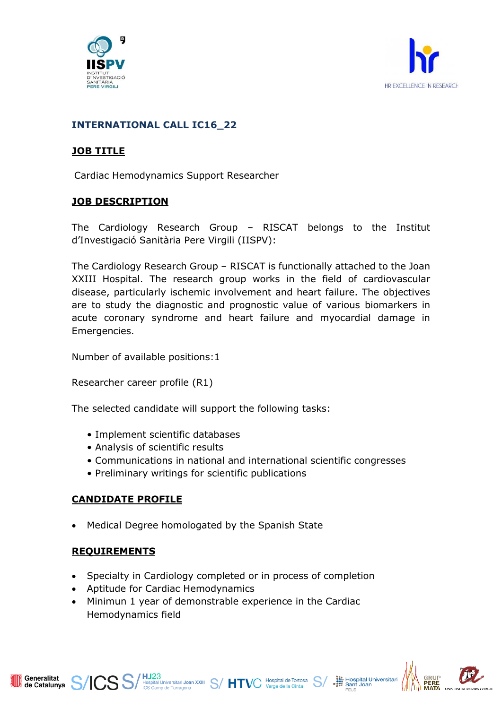



## **INTERNATIONAL CALL IC16\_22**

## **JOB TITLE**

Cardiac Hemodynamics Support Researcher

## **JOB DESCRIPTION**

The Cardiology Research Group – RISCAT belongs to the Institut d'Investigació Sanitària Pere Virgili (IISPV):

The Cardiology Research Group – RISCAT is functionally attached to the Joan XXIII Hospital. The research group works in the field of cardiovascular disease, particularly ischemic involvement and heart failure. The objectives are to study the diagnostic and prognostic value of various biomarkers in acute coronary syndrome and heart failure and myocardial damage in Emergencies.

Number of available positions:1

Researcher career profile (R1)

The selected candidate will support the following tasks:

- Implement scientific databases
- Analysis of scientific results
- Communications in national and international scientific congresses
- Preliminary writings for scientific publications

## **CANDIDATE PROFILE**

Medical Degree homologated by the Spanish State

## **REQUIREMENTS**

Generalitat<br>de Catalunya

- Specialty in Cardiology completed or in process of completion
- Aptitude for Cardiac Hemodynamics
- Minimun 1 year of demonstrable experience in the Cardiac Hemodynamics field

ICS S/HJ23<br>ICS Samp de Tarragona<br>TVC Verge de la Cinta<br>S/



Hospital Universitari<br>
Sant Joan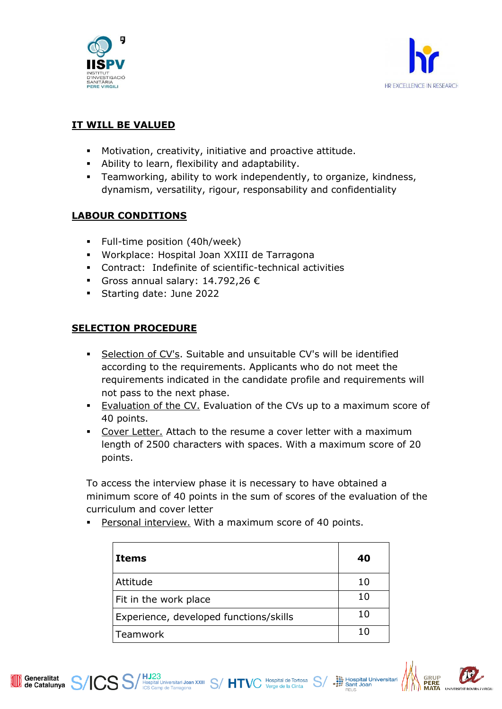



## **IT WILL BE VALUED**

- Motivation, creativity, initiative and proactive attitude.
- Ability to learn, flexibility and adaptability.
- Teamworking, ability to work independently, to organize, kindness, dynamism, versatility, rigour, responsability and confidentiality

# **LABOUR CONDITIONS**

- Full-time position (40h/week)
- Workplace: Hospital Joan XXIII de Tarragona
- Contract: Indefinite of scientific-technical activities
- Gross annual salary: 14.792,26  $\epsilon$
- Starting date: June 2022

# **SELECTION PROCEDURE**

Generalitat<br>de Catalunya

- Selection of CV's. Suitable and unsuitable CV's will be identified according to the requirements. Applicants who do not meet the requirements indicated in the candidate profile and requirements will not pass to the next phase.
- **Evaluation of the CV.** Evaluation of the CVs up to a maximum score of 40 points.
- Cover Letter. Attach to the resume a cover letter with a maximum length of 2500 characters with spaces. With a maximum score of 20 points.

To access the interview phase it is necessary to have obtained a minimum score of 40 points in the sum of scores of the evaluation of the curriculum and cover letter

Personal interview. With a maximum score of 40 points.

S/HJ23<br>S/Hospital Universitari Joan XXIII S/HTVC Hospital de Tortosa S<br>ICS Camp de Tarragona

| Items                                  | 40 |
|----------------------------------------|----|
| Attitude                               | 10 |
| Fit in the work place                  | 10 |
| Experience, developed functions/skills | 10 |
| Teamwork                               |    |



Hospital Universitar<br>
Sant Joan